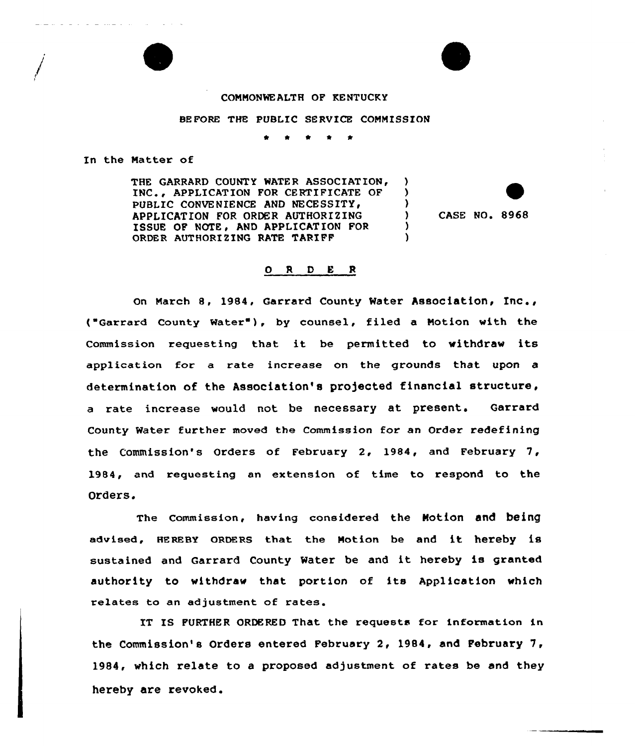## COMMONWEALTH OF KENTUCKY

## BEFORE THE PUBLIC SERVICE COMMISSION

\* \* 0 \*

In the Natter of

THE GARRARD COUNTY WATER ASSOCIATION, INC.. APPLICATION FOR CERTIFICATE OF PUBLIC CONVENIENCE AND NECESSITY. APPLICATION FOR ORDER AUTHORIZING ISSUE OF NOTE. AND APPLICATION FOR ORDER AUTHORIZING RATE TARIFF

) CASE NO. 8968

) )

 $\mathbf{v}$ 

## 0 <sup>R</sup> <sup>D</sup> E <sup>R</sup>

on March 8, 1984, Garrard County Water Association, Inc., ( Garrard County Water ), by counsel, filed <sup>a</sup> Notion with the Commission requesting that it be permitted to withdraw its application for a rate increase on the grounds that upon a determination of the Association's projected financial structure, a rate increase would not be necessary at present. Garrard County Water further moved the Commission for an Order redefining the Commission's Orders of February 2, 1984, and February 7, 1984, and requesting an extension of time to respond to the Orders.

The Commission, having considered the Notion and being advised, HEREBY oRDERs that the Notion be and it hereby is sustained and Garrard County Water be and it hereby is granted authority to withdraw that portion of its Application which relates to an adjustment of rates.

IT IS FURTHER ORDERED That the requests for information in the Commission's Orders entered February 2, 1984, and Pebruary 7, 1984, which relate to a proposed adjustment of rates be and they hereby are revoked.